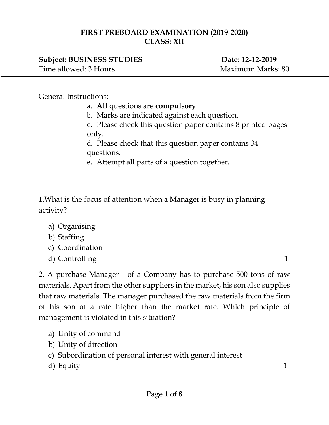### **FIRST PREBOARD EXAMINATION (2019-2020) CLASS: XII**

# **Subject: BUSINESS STUDIES** Date: 12-12-2019

Time allowed: 3 Hours Maximum Marks: 80

#### General Instructions:

- a. **All** questions are **compulsory**.
- b. Marks are indicated against each question.
- c. Please check this question paper contains 8 printed pages only.

d. Please check that this question paper contains 34 questions.

e. Attempt all parts of a question together.

1.What is the focus of attention when a Manager is busy in planning activity?

- a) Organising
- b) Staffing
- c) Coordination
- d) Controlling 1

2. A purchase Manager of a Company has to purchase 500 tons of raw materials. Apart from the other suppliers in the market, his son also supplies that raw materials. The manager purchased the raw materials from the firm of his son at a rate higher than the market rate. Which principle of management is violated in this situation?

- a) Unity of command
- b) Unity of direction
- c) Subordination of personal interest with general interest
- d) Equity 1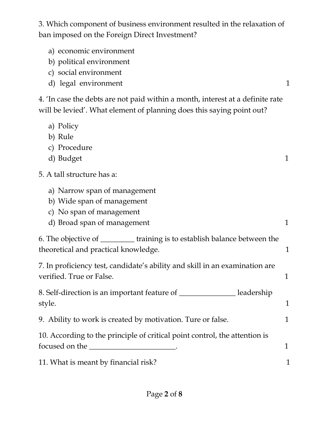3. Which component of business environment resulted in the relaxation of ban imposed on the Foreign Direct Investment?

- a) economic environment
- b) political environment
- c) social environment
- d) legal environment 1

4. 'In case the debts are not paid within a month, interest at a definite rate will be levied'. What element of planning does this saying point out?

- a) Policy
- b) Rule
- c) Procedure
- d) Budget 1

## 5. A tall structure has a:

- a) Narrow span of management
- b) Wide span of management
- c) No span of management
- d) Broad span of management 1

| 6. The objective of                  | training is to establish balance between the |  |
|--------------------------------------|----------------------------------------------|--|
| theoretical and practical knowledge. |                                              |  |

7. In proficiency test, candidate's ability and skill in an examination are verified. True or False. 1

8. Self-direction is an important feature of \_\_\_\_\_\_\_\_\_\_\_\_\_\_\_ leadership style. 1

9. Ability to work is created by motivation. Ture or false.  $1$ 

10. According to the principle of critical point control, the attention is focused on the \_\_\_\_\_\_\_\_\_\_\_\_\_\_\_\_\_\_\_\_\_\_\_\_.

11. What is meant by financial risk?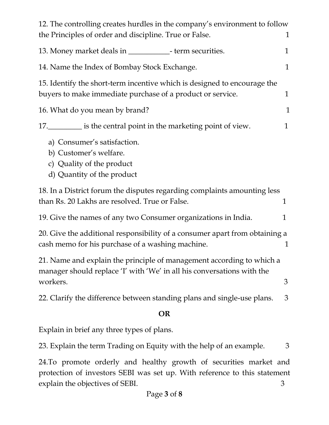| 12. The controlling creates hurdles in the company's environment to follow                                                                                  |              |
|-------------------------------------------------------------------------------------------------------------------------------------------------------------|--------------|
| the Principles of order and discipline. True or False.                                                                                                      | $\mathbf 1$  |
| 13. Money market deals in ________________- term securities.                                                                                                | 1            |
| 14. Name the Index of Bombay Stock Exchange.                                                                                                                |              |
| 15. Identify the short-term incentive which is designed to encourage the<br>buyers to make immediate purchase of a product or service.                      | 1            |
| 16. What do you mean by brand?                                                                                                                              | $\mathbf 1$  |
| 17. is the central point in the marketing point of view.                                                                                                    | $\mathbf{1}$ |
| a) Consumer's satisfaction.<br>b) Customer's welfare.<br>c) Quality of the product<br>d) Quantity of the product                                            |              |
| 18. In a District forum the disputes regarding complaints amounting less<br>than Rs. 20 Lakhs are resolved. True or False.                                  | $\mathbf{1}$ |
| 19. Give the names of any two Consumer organizations in India.                                                                                              | 1            |
| 20. Give the additional responsibility of a consumer apart from obtaining a<br>cash memo for his purchase of a washing machine.                             | 1            |
| 21. Name and explain the principle of management according to which a<br>manager should replace 'I' with 'We' in all his conversations with the<br>workers. | 3            |
| 22. Clarify the difference between standing plans and single-use plans.                                                                                     | 3            |
| OR                                                                                                                                                          |              |

#### **OR**

Explain in brief any three types of plans.

23. Explain the term Trading on Equity with the help of an example. 3

24.To promote orderly and healthy growth of securities market and protection of investors SEBI was set up. With reference to this statement explain the objectives of SEBI. 3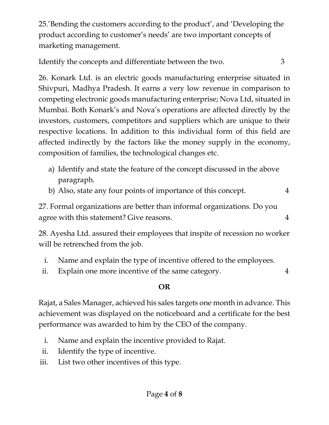25.'Bending the customers according to the product', and 'Developing the product according to customer's needs' are two important concepts of marketing management.

Identify the concepts and differentiate between the two. 3

26. Konark Ltd. is an electric goods manufacturing enterprise situated in Shivpuri, Madhya Pradesh. It earns a very low revenue in comparison to competing electronic goods manufacturing enterprise; Nova Ltd, situated in Mumbai. Both Konark's and Nova's operations are affected directly by the investors, customers, competitors and suppliers which are unique to their respective locations. In addition to this individual form of this field are affected indirectly by the factors like the money supply in the economy, composition of families, the technological changes etc.

- a) Identify and state the feature of the concept discussed in the above paragraph.
- b) Also, state any four points of importance of this concept. 4

27. Formal organizations are better than informal organizations. Do you agree with this statement? Give reasons. 4

28. Ayesha Ltd. assured their employees that inspite of recession no worker will be retrenched from the job.

- i. Name and explain the type of incentive offered to the employees.
- ii. Explain one more incentive of the same category. 4

# **OR**

Rajat, a Sales Manager, achieved his sales targets one month in advance. This achievement was displayed on the noticeboard and a certificate for the best performance was awarded to him by the CEO of the company.

- i. Name and explain the incentive provided to Rajat.
- ii. Identify the type of incentive.
- iii. List two other incentives of this type.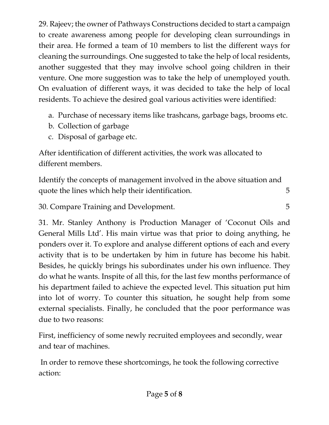29. Rajeev; the owner of Pathways Constructions decided to start a campaign to create awareness among people for developing clean surroundings in their area. He formed a team of 10 members to list the different ways for cleaning the surroundings. One suggested to take the help of local residents, another suggested that they may involve school going children in their venture. One more suggestion was to take the help of unemployed youth. On evaluation of different ways, it was decided to take the help of local residents. To achieve the desired goal various activities were identified:

- a. Purchase of necessary items like trashcans, garbage bags, brooms etc.
- b. Collection of garbage
- c. Disposal of garbage etc.

After identification of different activities, the work was allocated to different members.

Identify the concepts of management involved in the above situation and quote the lines which help their identification. 5

30. Compare Training and Development. 5

31. Mr. Stanley Anthony is Production Manager of 'Coconut Oils and General Mills Ltd'. His main virtue was that prior to doing anything, he ponders over it. To explore and analyse different options of each and every activity that is to be undertaken by him in future has become his habit. Besides, he quickly brings his subordinates under his own influence. They do what he wants. Inspite of all this, for the last few months performance of his department failed to achieve the expected level. This situation put him into lot of worry. To counter this situation, he sought help from some external specialists. Finally, he concluded that the poor performance was due to two reasons:

First, inefficiency of some newly recruited employees and secondly, wear and tear of machines.

In order to remove these shortcomings, he took the following corrective action: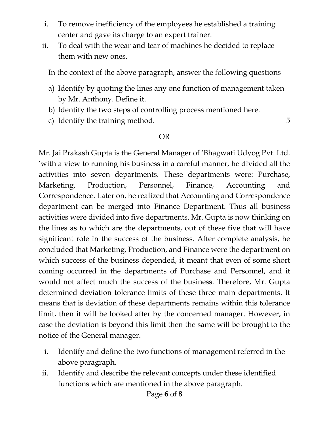- i. To remove inefficiency of the employees he established a training center and gave its charge to an expert trainer.
- ii. To deal with the wear and tear of machines he decided to replace them with new ones.

In the context of the above paragraph, answer the following questions

- a) Identify by quoting the lines any one function of management taken by Mr. Anthony. Define it.
- b) Identify the two steps of controlling process mentioned here.
- c) Identify the training method. 5

## OR

Mr. Jai Prakash Gupta is the General Manager of 'Bhagwati Udyog Pvt. Ltd. 'with a view to running his business in a careful manner, he divided all the activities into seven departments. These departments were: Purchase, Marketing, Production, Personnel, Finance, Accounting and Correspondence. Later on, he realized that Accounting and Correspondence department can be merged into Finance Department. Thus all business activities were divided into five departments. Mr. Gupta is now thinking on the lines as to which are the departments, out of these five that will have significant role in the success of the business. After complete analysis, he concluded that Marketing, Production, and Finance were the department on which success of the business depended, it meant that even of some short coming occurred in the departments of Purchase and Personnel, and it would not affect much the success of the business. Therefore, Mr. Gupta determined deviation tolerance limits of these three main departments. It means that is deviation of these departments remains within this tolerance limit, then it will be looked after by the concerned manager. However, in case the deviation is beyond this limit then the same will be brought to the notice of the General manager.

- i. Identify and define the two functions of management referred in the above paragraph.
- ii. Identify and describe the relevant concepts under these identified functions which are mentioned in the above paragraph.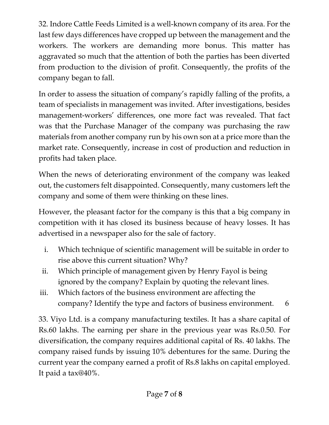32. Indore Cattle Feeds Limited is a well-known company of its area. For the last few days differences have cropped up between the management and the workers. The workers are demanding more bonus. This matter has aggravated so much that the attention of both the parties has been diverted from production to the division of profit. Consequently, the profits of the company began to fall.

In order to assess the situation of company's rapidly falling of the profits, a team of specialists in management was invited. After investigations, besides management-workers' differences, one more fact was revealed. That fact was that the Purchase Manager of the company was purchasing the raw materials from another company run by his own son at a price more than the market rate. Consequently, increase in cost of production and reduction in profits had taken place.

When the news of deteriorating environment of the company was leaked out, the customers felt disappointed. Consequently, many customers left the company and some of them were thinking on these lines.

However, the pleasant factor for the company is this that a big company in competition with it has closed its business because of heavy losses. It has advertised in a newspaper also for the sale of factory.

- i. Which technique of scientific management will be suitable in order to rise above this current situation? Why?
- ii. Which principle of management given by Henry Fayol is being ignored by the company? Explain by quoting the relevant lines.
- iii. Which factors of the business environment are affecting the company? Identify the type and factors of business environment. 6

33. Viyo Ltd. is a company manufacturing textiles. It has a share capital of Rs.60 lakhs. The earning per share in the previous year was Rs.0.50. For diversification, the company requires additional capital of Rs. 40 lakhs. The company raised funds by issuing 10% debentures for the same. During the current year the company earned a profit of Rs.8 lakhs on capital employed. It paid a tax@40%.